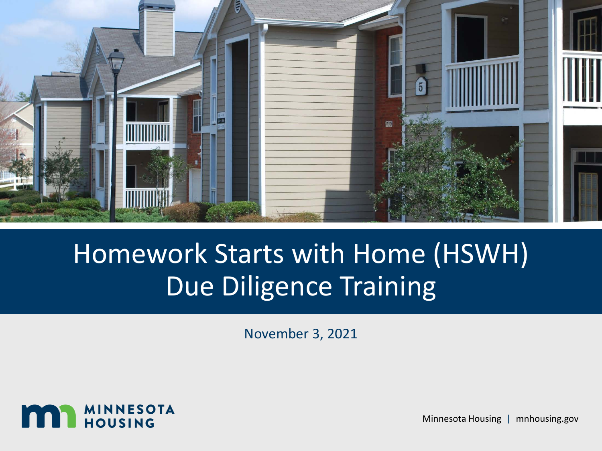

## Homework Starts with Home (HSWH) Due Diligence Training

November 3, 2021



Minnesota Housing | mnhousing.gov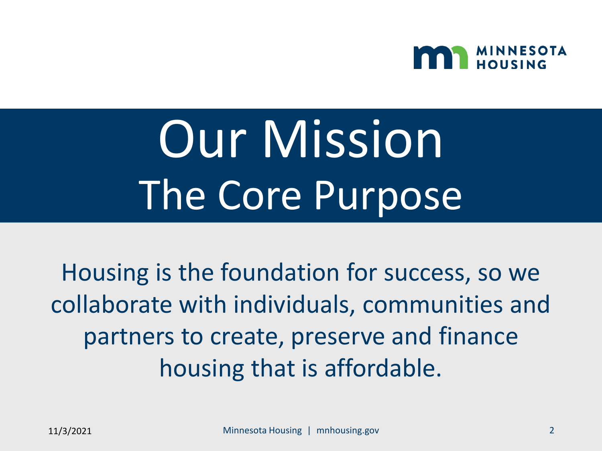

# Our Mission The Core Purpose

Housing is the foundation for success, so we collaborate with individuals, communities and partners to create, preserve and finance housing that is affordable.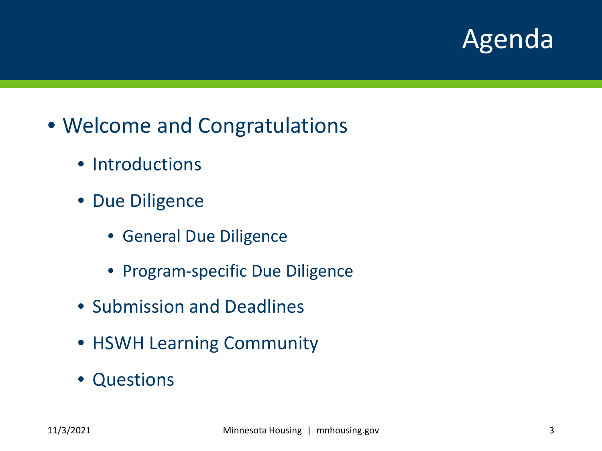#### Agenda

- Welcome and Congratulations
	- Introductions
	- Due Diligence
		- General Due Diligence
		- Program-specific Due Diligence
	- Submission and Deadlines
	- HSWH Learning Community
	- Questions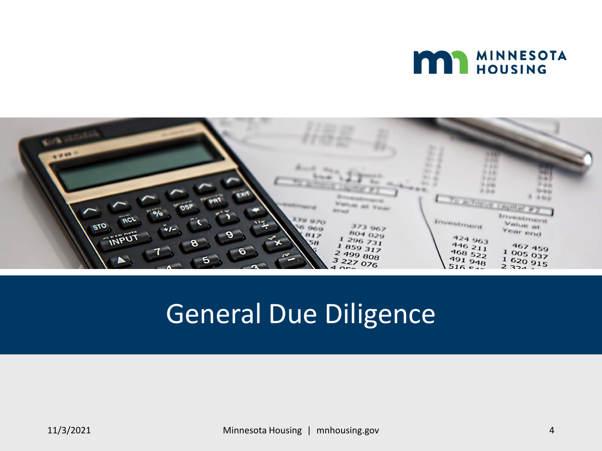



#### General Due Diligence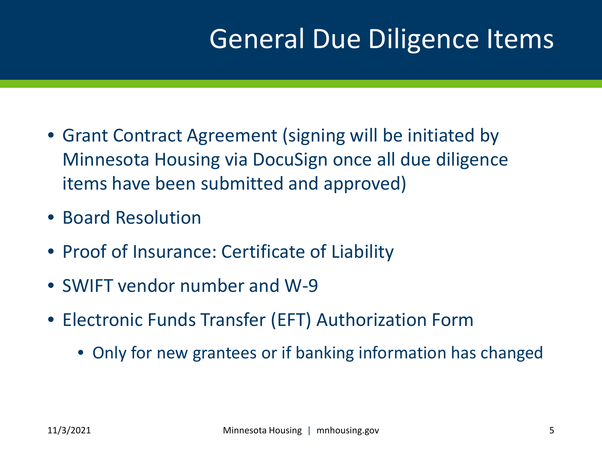## General Due Diligence Items

- Grant Contract Agreement (signing will be initiated by Minnesota Housing via DocuSign once all due diligence items have been submitted and approved)
- Board Resolution
- Proof of Insurance: Certificate of Liability
- SWIFT vendor number and W-9
- Electronic Funds Transfer (EFT) Authorization Form
	- Only for new grantees or if banking information has changed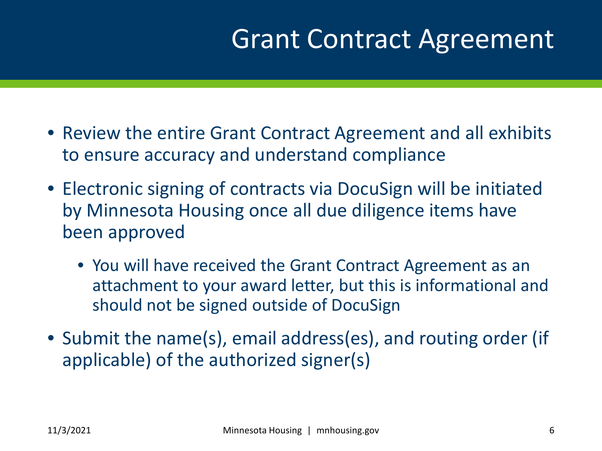### Grant Contract Agreement

- Review the entire Grant Contract Agreement and all exhibits to ensure accuracy and understand compliance
- Electronic signing of contracts via DocuSign will be initiated by Minnesota Housing once all due diligence items have been approved
	- You will have received the Grant Contract Agreement as an attachment to your award letter, but this is informational and should not be signed outside of DocuSign
- Submit the name(s), email address(es), and routing order (if applicable) of the authorized signer(s)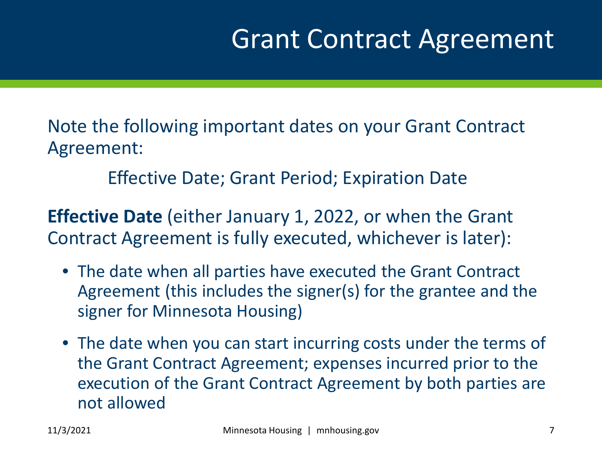#### Grant Contract Agreement

Note the following important dates on your Grant Contract Agreement:

Effective Date; Grant Period; Expiration Date

**Effective Date** (either January 1, 2022, or when the Grant Contract Agreement is fully executed, whichever is later):

- The date when all parties have executed the Grant Contract Agreement (this includes the signer(s) for the grantee and the signer for Minnesota Housing)
- The date when you can start incurring costs under the terms of the Grant Contract Agreement; expenses incurred prior to the execution of the Grant Contract Agreement by both parties are not allowed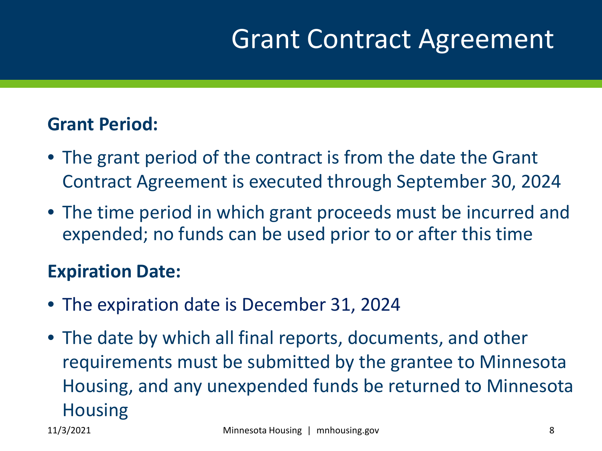### Grant Contract Agreement

#### **Grant Period:**

- The grant period of the contract is from the date the Grant Contract Agreement is executed through September 30, 2024
- The time period in which grant proceeds must be incurred and expended; no funds can be used prior to or after this time

#### **Expiration Date:**

- The expiration date is December 31, 2024
- The date by which all final reports, documents, and other requirements must be submitted by the grantee to Minnesota Housing, and any unexpended funds be returned to Minnesota Housing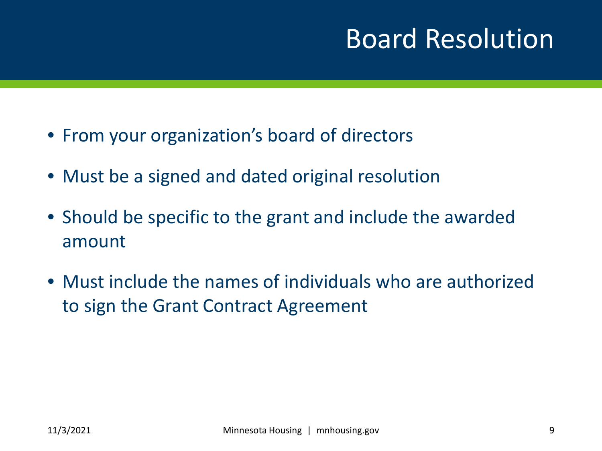### Board Resolution

- From your organization's board of directors
- Must be a signed and dated original resolution
- Should be specific to the grant and include the awarded amount
- Must include the names of individuals who are authorized to sign the Grant Contract Agreement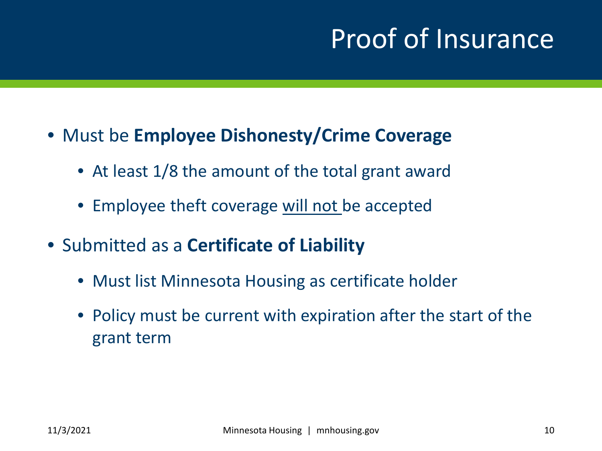# Proof of Insurance

- Must be **Employee Dishonesty/Crime Coverage**
	- At least 1/8 the amount of the total grant award
	- Employee theft coverage will not be accepted
- Submitted as a **Certificate of Liability**
	- Must list Minnesota Housing as certificate holder
	- Policy must be current with expiration after the start of the grant term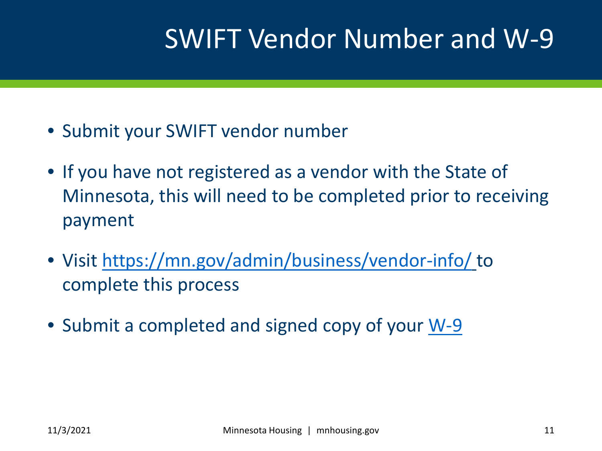### SWIFT Vendor Number and W-9

- Submit your SWIFT vendor number
- If you have not registered as a vendor with the State of Minnesota, this will need to be completed prior to receiving payment
- Visit<https://mn.gov/admin/business/vendor-info/> to complete this process
- Submit a completed and signed copy of your [W-9](https://gcc01.safelinks.protection.outlook.com/?url=https://www.irs.gov/pub/irs-pdf/fw9.pdf&data=02|01|Merideth.Mayrand@state.mn.us|efa9a78b5d304fd8982e08d7f8506194|eb14b04624c445198f26b89c2159828c|0|0|637250896420318916&sdata=BofIM9St34%2BvNlAHbmYI1A8Iv0ekN6lNPzozcedHAvs%3D&reserved=0)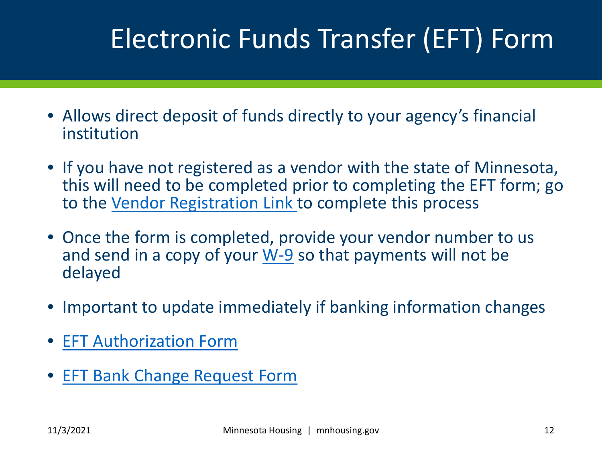# Electronic Funds Transfer (EFT) Form

- Allows direct deposit of funds directly to your agency's financial institution
- If you have not registered as a vendor with the state of Minnesota, this will need to be completed prior to completing the EFT form; go to the [Vendor Registration Link](https://mn.gov/admin/business/vendor-info/) to complete this process
- Once the form is completed, provide your vendor number to us and send in a copy of your [W-9](https://gcc01.safelinks.protection.outlook.com/?url=https://www.irs.gov/pub/irs-pdf/fw9.pdf&data=02|01|Merideth.Mayrand@state.mn.us|efa9a78b5d304fd8982e08d7f8506194|eb14b04624c445198f26b89c2159828c|0|0|637250896420318916&sdata=BofIM9St34%2BvNlAHbmYI1A8Iv0ekN6lNPzozcedHAvs%3D&reserved=0) so that payments will not be delayed
- Important to update immediately if banking information changes
- **[EFT Authorization Form](https://mn.gov/mmb-stat/documents/swift/vendor/eft.pdf)**
- **[EFT Bank Change Request Form](https://mn.gov/mmb-stat/documents/swift/vendor/bank-change.pdf)**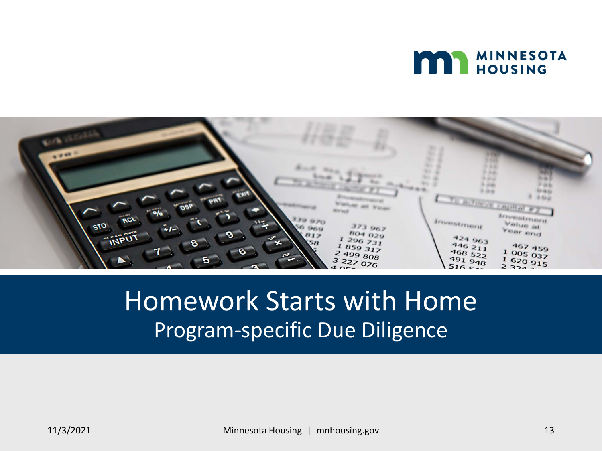



#### Homework Starts with Home Program-specific Due Diligence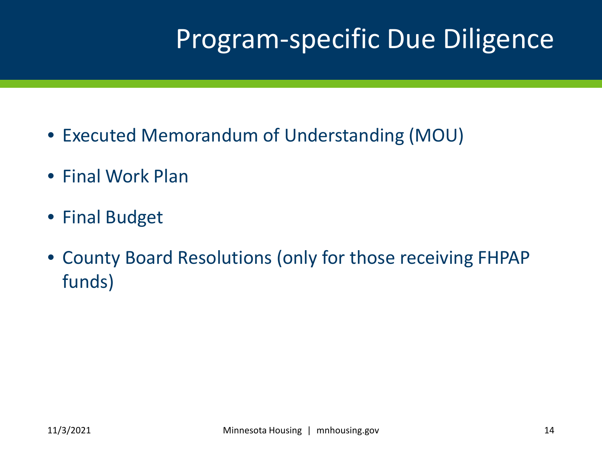# Program-specific Due Diligence

- Executed Memorandum of Understanding (MOU)
- Final Work Plan
- Final Budget
- County Board Resolutions (only for those receiving FHPAP funds)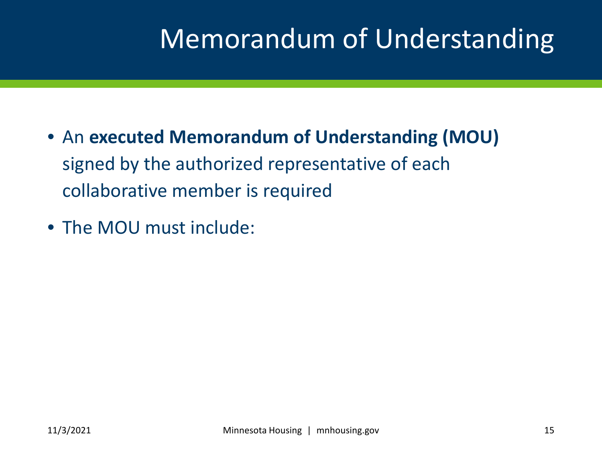# Memorandum of Understanding

- An **executed Memorandum of Understanding (MOU)**  signed by the authorized representative of each collaborative member is required
- The MOU must include: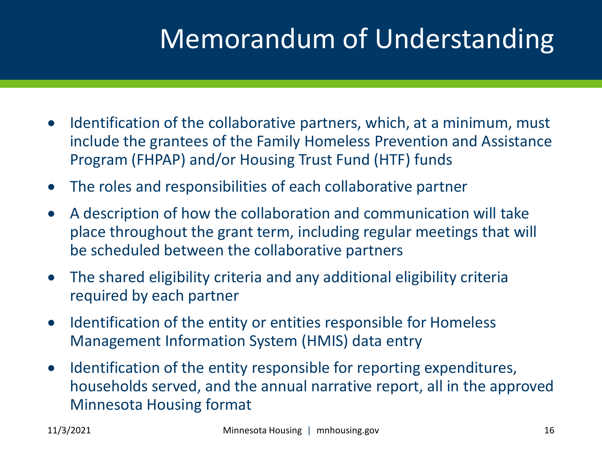# Memorandum of Understanding

- Identification of the collaborative partners, which, at a minimum, must include the grantees of the Family Homeless Prevention and Assistance Program (FHPAP) and/or Housing Trust Fund (HTF) funds
- The roles and responsibilities of each collaborative partner
- A description of how the collaboration and communication will take place throughout the grant term, including regular meetings that will be scheduled between the collaborative partners
- The shared eligibility criteria and any additional eligibility criteria required by each partner
- Identification of the entity or entities responsible for Homeless Management Information System (HMIS) data entry
- Identification of the entity responsible for reporting expenditures, households served, and the annual narrative report, all in the approved Minnesota Housing format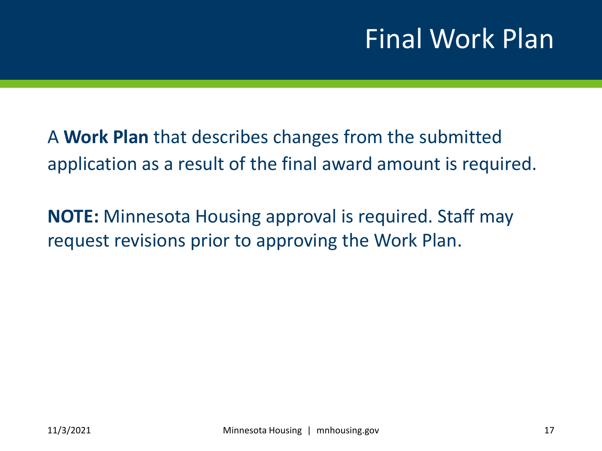### Final Work Plan

A **Work Plan** that describes changes from the submitted application as a result of the final award amount is required.

**NOTE:** Minnesota Housing approval is required. Staff may request revisions prior to approving the Work Plan.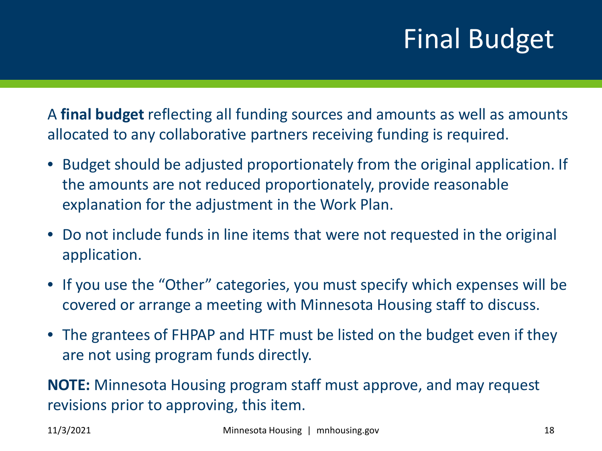# Final Budget

A **final budget** reflecting all funding sources and amounts as well as amounts allocated to any collaborative partners receiving funding is required.

- Budget should be adjusted proportionately from the original application. If the amounts are not reduced proportionately, provide reasonable explanation for the adjustment in the Work Plan.
- Do not include funds in line items that were not requested in the original application.
- If you use the "Other" categories, you must specify which expenses will be covered or arrange a meeting with Minnesota Housing staff to discuss.
- The grantees of FHPAP and HTF must be listed on the budget even if they are not using program funds directly.

**NOTE:** Minnesota Housing program staff must approve, and may request revisions prior to approving, this item.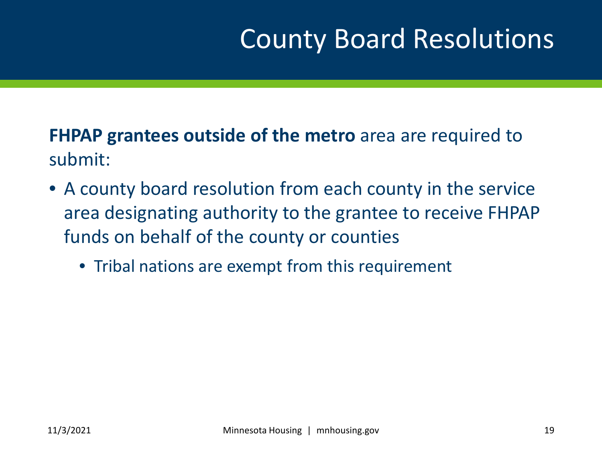## County Board Resolutions

**FHPAP grantees outside of the metro** area are required to submit:

- A county board resolution from each county in the service area designating authority to the grantee to receive FHPAP funds on behalf of the county or counties
	- Tribal nations are exempt from this requirement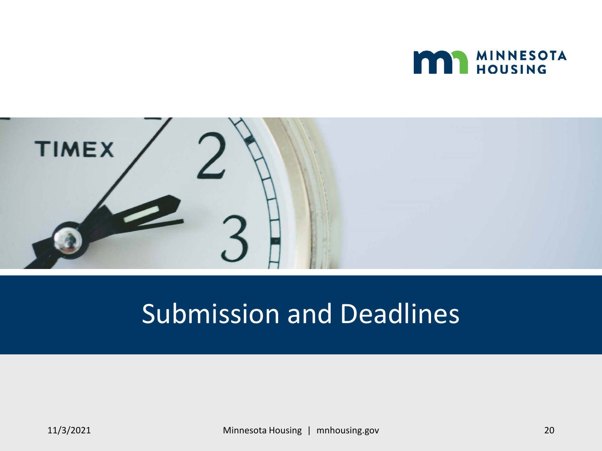



#### Submission and Deadlines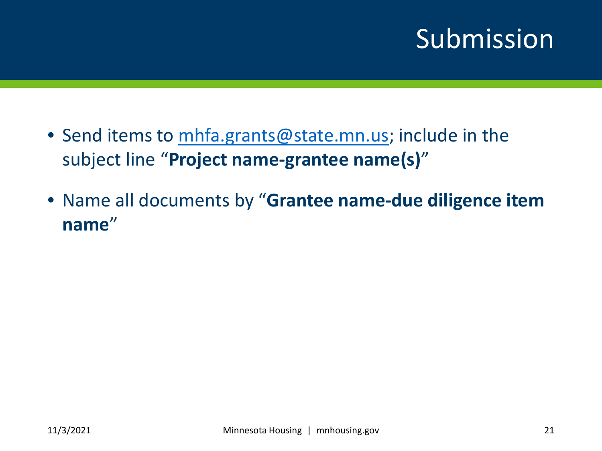#### Submission

- Send items to [mhfa.grants@state.mn.us](mailto:mhfa.grants@state.mn.us); include in the subject line "**Project name-grantee name(s)**"
- Name all documents by "**Grantee name-due diligence item name**"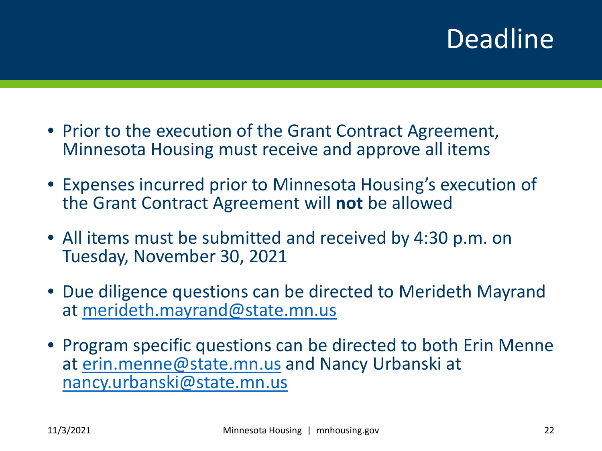#### Deadline

- Prior to the execution of the Grant Contract Agreement, Minnesota Housing must receive and approve all items
- Expenses incurred prior to Minnesota Housing's execution of the Grant Contract Agreement will **not** be allowed
- All items must be submitted and received by 4:30 p.m. on Tuesday, November 30, 2021
- Due diligence questions can be directed to Merideth Mayrand at [merideth.mayrand@state.mn.us](mailto:merideth.mayrand@state.mn.us)
- Program specific questions can be directed to both Erin Menne at [erin.menne@state.mn.us](mailto:erin.menne@state.mn.us) and Nancy Urbanski at [nancy.urbanski@state.mn.us](mailto:nancy.urbanski@state.mn.us)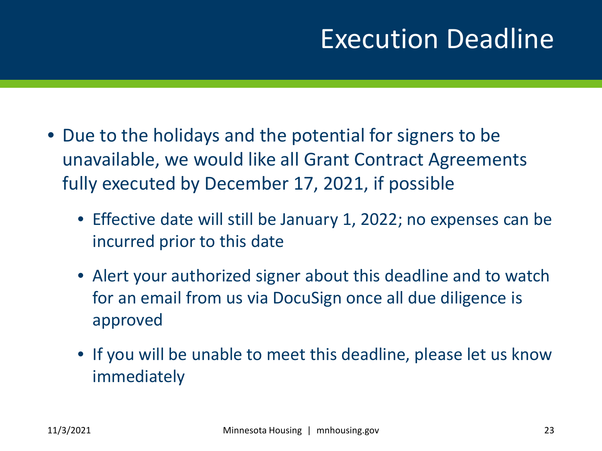#### Execution Deadline

- Due to the holidays and the potential for signers to be unavailable, we would like all Grant Contract Agreements fully executed by December 17, 2021, if possible
	- Effective date will still be January 1, 2022; no expenses can be incurred prior to this date
	- Alert your authorized signer about this deadline and to watch for an email from us via DocuSign once all due diligence is approved
	- If you will be unable to meet this deadline, please let us know immediately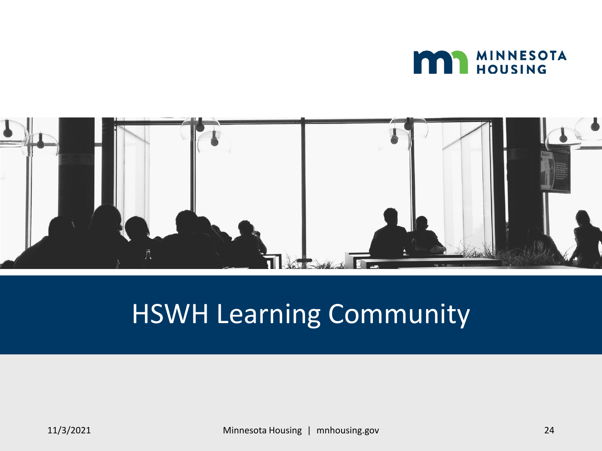



#### HSWH Learning Community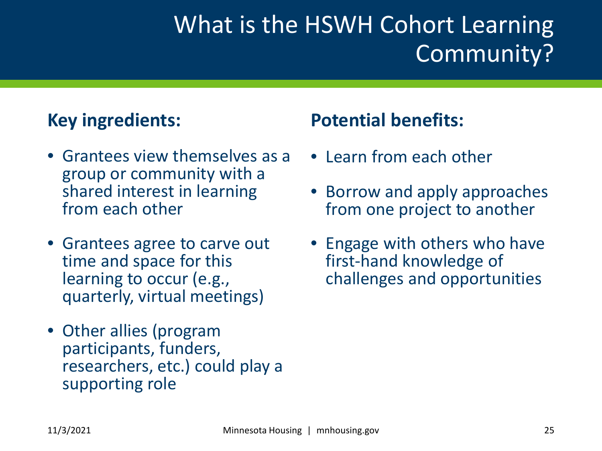#### What is the HSWH Cohort Learning Community?

#### **Key ingredients:**

- Grantees view themselves as a group or community with a shared interest in learning from each other
- Grantees agree to carve out time and space for this learning to occur (e.g., quarterly, virtual meetings)
- Other allies (program participants, funders, researchers, etc.) could play a supporting role

#### **Potential benefits:**

- Learn from each other
- Borrow and apply approaches from one project to another
- Engage with others who have first-hand knowledge of challenges and opportunities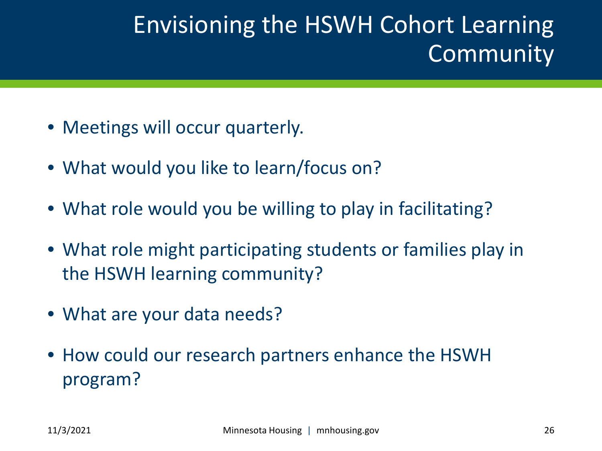#### Envisioning the HSWH Cohort Learning Community

- Meetings will occur quarterly.
- What would you like to learn/focus on?
- What role would you be willing to play in facilitating?
- What role might participating students or families play in the HSWH learning community?
- What are your data needs?
- How could our research partners enhance the HSWH program?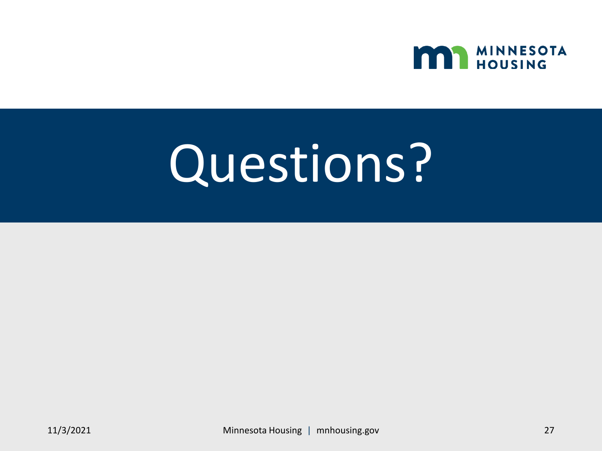

# Questions?